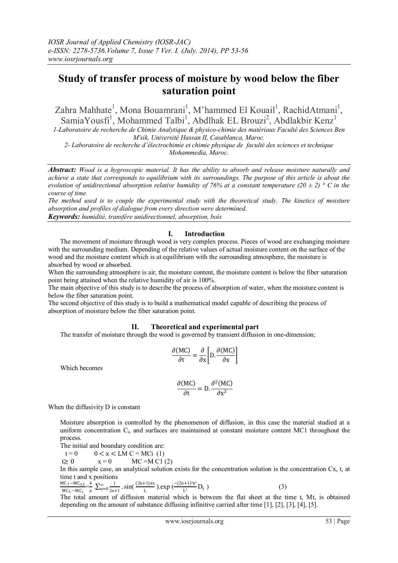# **Study of transfer process of moisture by wood below the fiber saturation point**

Zahra Mahhate<sup>1</sup>, Mona Bouamrani<sup>1</sup>, M'hammed El Kouail<sup>1</sup>, RachidAtmani<sup>1</sup>, SamiaYousfi<sup>1</sup>, Mohammed Talbi<sup>1</sup>, Abdlhak EL Brouzi<sup>2</sup>, Abdlakbir Kenz<sup>1</sup>

*1-Laboratoire de recherche de Chimie Analytique & physico-chimie des matériaux Faculté des Sciences Ben M'sik, Université Hassan II, Casablanca, Maroc.*

*2- Laboratoire de recherche d'électrochimie et chimie physique de faculté des sciences et technique Mohammedia, Maroc.*

*Abstract: Wood is a hygroscopic material. It has the ability to absorb and release moisture naturally and achieve a state that corresponds to equilibrium with its surroundings. The purpose of this article is about the evolution of unidirectional absorption relative humidity of 76% at a constant temperature (20*  $\pm$  *2)*  $\degree$  *C in the course of time.* 

*The method used is to couple the experimental study with the theoretical study. The kinetics of moisture absorption and profiles of dialogue from every direction were determined.*

*Keywords: humidité, transfère unidirectionnel, absorption, bois*

# **I. Introduction**

The movement of moisture through wood is very complex process. Pieces of wood are exchanging moisture with the surrounding medium. Depending of the relative values of actual moisture content on the surface of the wood and the moisture content which is at equilibrium with the surrounding atmosphere, the moisture is absorbed by wood or absorbed.

When the surrounding atmosphere is air, the moisture content, the moisture content is below the fiber saturation point being attained when the relative humidity of air is 100%.

The main objective of this study is to describe the process of absorption of water, when the moisture content is below the fiber saturation point.

The second objective of this study is to build a mathematical model capable of describing the process of absorption of moisture below the fiber saturation point.

## **II. Theoretical and experimental part**

The transfer of moisture through the wood is governed by transient diffusion in one-dimension;

$$
\frac{\partial (MC)}{\partial t} = \frac{\partial}{\partial x} \left[ D \cdot \frac{\partial (MC)}{\partial x} \right]
$$

Which becomes

$$
\frac{\partial (MC)}{\partial t} = D \cdot \frac{\partial^2 (MC)}{\partial x^2}
$$

When the diffusivity D is constant

Moisture absorption is controlled by the phenomenon of diffusion, in this case the material studied at a uniform concentration C<sub>i</sub>, and surfaces are maintained at constant moisture content MC1 throughout the process.

The initial and boundary condition are:

$$
t = 0 \qquad 0 < x < LM \ C = MCi \ (1)
$$

$$
t \ge 0 \qquad x = 0 \qquad \text{MC} = M \text{Cl} (2)
$$

In this sample case, an analytical solution exists for the concentration solution is the concentration Cx, t, at time t and x positions

$$
\frac{MC_1 - MC_{x,t}}{MC_1 - MC_{t}} = \frac{4}{\pi} \sum_{n=0}^{\infty} \frac{1}{2n+1} \cdot \sin(\frac{(2n+1)\pi x}{L}) \cdot \exp(\frac{-(2n+1)^2 \pi^2}{L^2} D_t)
$$
\n(3)

The total amount of diffusion material which is between the flat sheet at the time t, Mt, is obtained depending on the amount of substance diffusing infinitive carried after time [1], [2], [3], [4], [5].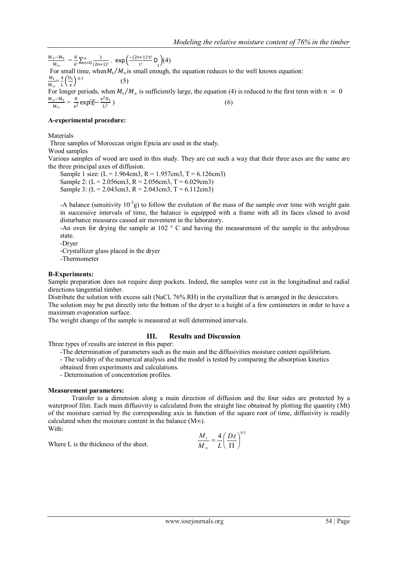M∞−Mt  $\frac{m_{\infty}-M_{t}}{M_{\infty}} = \frac{8}{\pi^{2}}$  $\frac{8}{\pi^2}\sum_{n=0}^{\infty}\frac{1}{(2n+1)^n}$  $(2n+1)^2$  $\sum_{n=0}^{\infty} \frac{1}{(2n+1)^2}$ . exp $\left( \frac{-(2n+1)^2 \pi^2}{1^2} \right)$  $\frac{L^{2}}{L^{2}}D_{t}^{(4)}$ For small time, when  $M_t/M_\infty$  is small enough, the equation reduces to the well known equation: Mt  $\frac{M_t}{M_\infty} = \frac{4}{L}$  $\frac{4}{L}\left(\frac{D_t}{\pi}\right)$  $\frac{D_{\rm t}}{\pi}$  0.5 (5) For longer periods, when  $M_t/M_\infty$  is sufficiently large, the equation (4) is reduced to the first term with  $n = 0$  $M_{\infty}$ − $M_t$  $\frac{m}{M_{\infty}} = \frac{8}{\pi^2}$  $\frac{8}{\pi^2}$  exp[ $\frac{\pi^2 D_t}{L^2}$ L 2  $(6)$ 

# **A-experimental procedure:**

#### **Materials**

Three samples of Moroccan origin Epicia are used in the study.

## Wood samples

Various samples of wood are used in this study. They are cut such a way that their three axes are the same are the three principal axes of diffusion.

Sample 1 size:  $(L = 1.964cm3, R = 1.957cm3, T = 6.126cm3)$ Sample 2: (L = 2.056cm3, R = 2.056cm3, T = 6.029cm3) Sample 3:  $(L = 2.043cm3, R = 2.043cm3, T = 6.112cm3)$ 

-A balance (sensitivity  $10^{-3}$ g) to follow the evolution of the mass of the sample over time with weight gain in successive intervals of time, the balance is equipped with a frame with all its faces closed to avoid disturbance measures caused air movement in the laboratory.

-An oven for drying the sample at 102 ° C and having the measurement of the sample in the anhydrous state.

-Dryer

-Crystallizer glass placed in the dryer

-Thermometer

## **B-Experiments:**

Sample preparation does not require deep pockets. Indeed, the samples were cut in the longitudinal and radial directions tangential timber.

Distribute the solution with excess salt (NaCl, 76% RH) in the crystallizer that is arranged in the desiccators. The solution may be put directly into the bottom of the dryer to a height of a few centimeters in order to have a maximum evaporation surface.

The weight change of the sample is measured at well determined intervals.

## **III. Results and Discussion**

Three types of results are interest in this paper:

-The determination of parameters such as the main and the diffusivities moisture content equilibrium.

- The validity of the numerical analysis and the model is tested by comparing the absorption kinetics

obtained from experiments and calculations.

- Determination of concentration profiles.

## **Measurement parameters:**

Transfer to a dimension along a main direction of diffusion and the four sides are protected by a waterproof film. Each main diffusivity is calculated from the straight line obtained by plotting the quantity (Mt) of the moisture carried by the corresponding axis in function of the square root of time, diffusivity is readily calculated when the moisture content in the balance (M∞). With:

When:  
Where L is the thickness of the sheet.  

$$
\frac{M_t}{M_{\infty}} = \frac{4}{L} \left( \frac{D_t}{\Pi} \right)^{0.5}
$$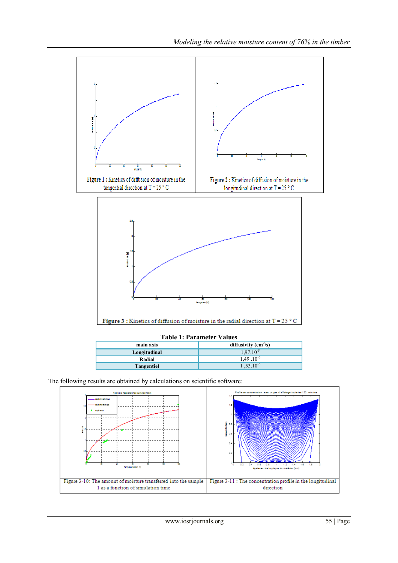

## **Table 1: Parameter Values**

| main axis         | diffusivity $\text{(cm}^2\text{/s)}$ |
|-------------------|--------------------------------------|
| Longitudinal      | $1.97.10^{-5}$                       |
| Radial            | $1.49 \cdot 10^{-6}$                 |
| <b>Tangentiel</b> | $1,53.10^{-6}$                       |

The following results are obtained by calculations on scientific software: